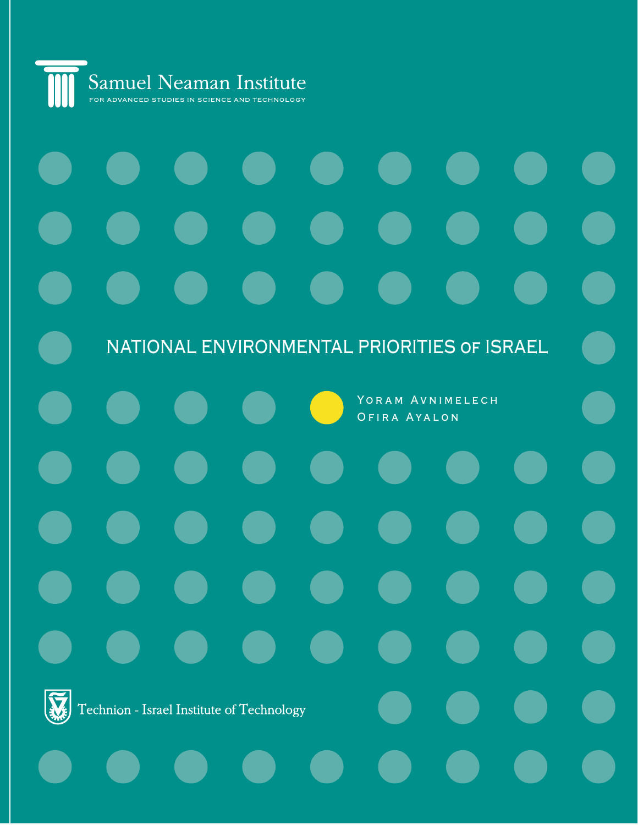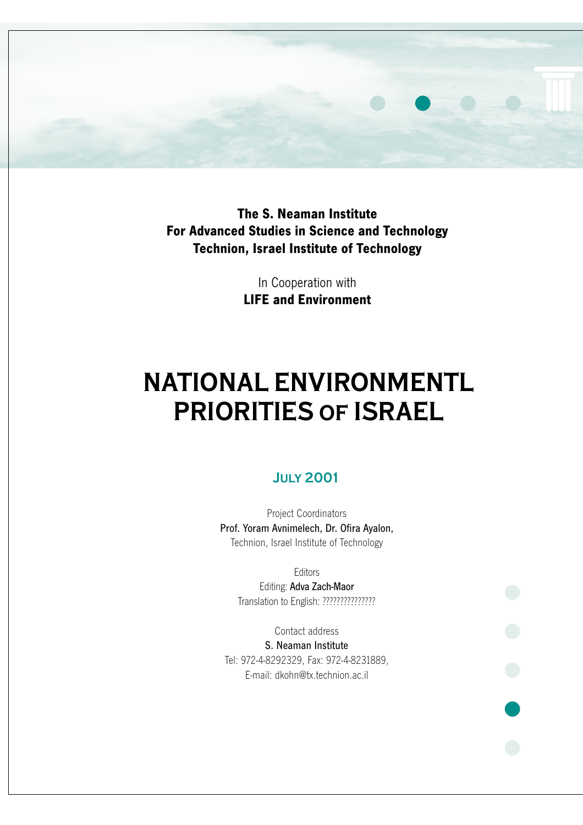

**The S. Neaman Institute For Advanced Studies in Science and Technology Technion, Israel Institute of Technology**

> In Cooperation with **LIFE and Environment**

# **NATIONAL ENVIRONMENTL PRIORITIES of ISRAEL**

## **July 2001**

Project Coordinators Prof. Yoram Avnimelech, Dr. Ofira Ayalon, Technion, Israel Institute of Technology

> **Editors** Editing: Adva Zach-Maor Translation to English: ???????????????

Contact address S. Neaman Institute Tel: 972-4-8292329, Fax: 972-4-8231889, E-mail: dkohn@tx.technion.ac.il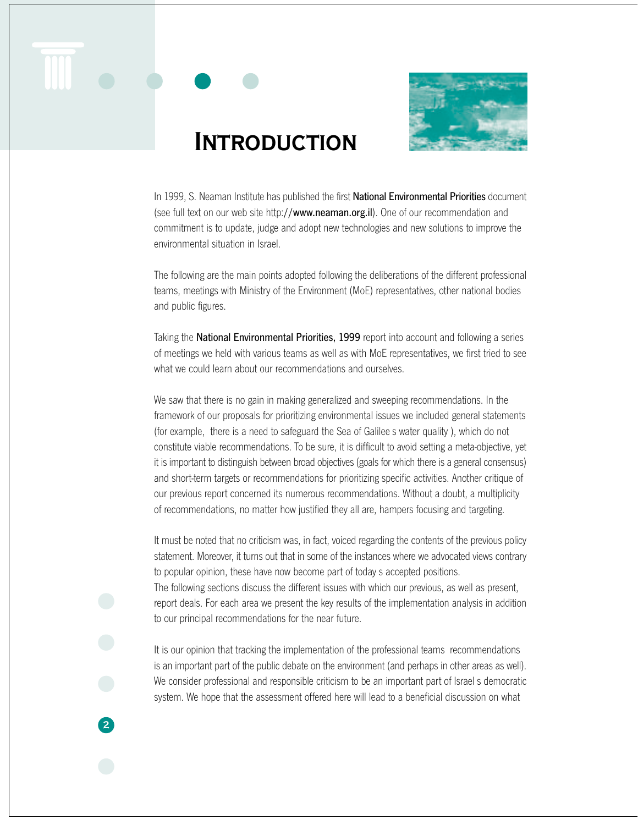



## **INTRODUCTION**

In 1999, S. Neaman Institute has published the first National Environmental Priorities document (see full text on our web site http://www.neaman.org.il). One of our recommendation and commitment is to update, judge and adopt new technologies and new solutions to improve the environmental situation in Israel.

The following are the main points adopted following the deliberations of the different professional teams, meetings with Ministry of the Environment (MoE) representatives, other national bodies and public figures.

Taking the National Environmental Priorities, 1999 report into account and following a series of meetings we held with various teams as well as with MoE representatives, we first tried to see what we could learn about our recommendations and ourselves.

We saw that there is no gain in making generalized and sweeping recommendations. In the framework of our proposals for prioritizing environmental issues we included general statements (for example, there is a need to safeguard the Sea of Galilee s water quality ), which do not constitute viable recommendations. To be sure, it is difficult to avoid setting a meta-objective, yet it is important to distinguish between broad objectives (goals for which there is a general consensus) and short-term targets or recommendations for prioritizing specific activities. Another critique of our previous report concerned its numerous recommendations. Without a doubt, a multiplicity of recommendations, no matter how justified they all are, hampers focusing and targeting.

It must be noted that no criticism was, in fact, voiced regarding the contents of the previous policy statement. Moreover, it turns out that in some of the instances where we advocated views contrary to popular opinion, these have now become part of today s accepted positions. The following sections discuss the different issues with which our previous, as well as present, report deals. For each area we present the key results of the implementation analysis in addition to our principal recommendations for the near future.

It is our opinion that tracking the implementation of the professional teams recommendations is an important part of the public debate on the environment (and perhaps in other areas as well). We consider professional and responsible criticism to be an important part of Israel s democratic system. We hope that the assessment offered here will lead to a beneficial discussion on what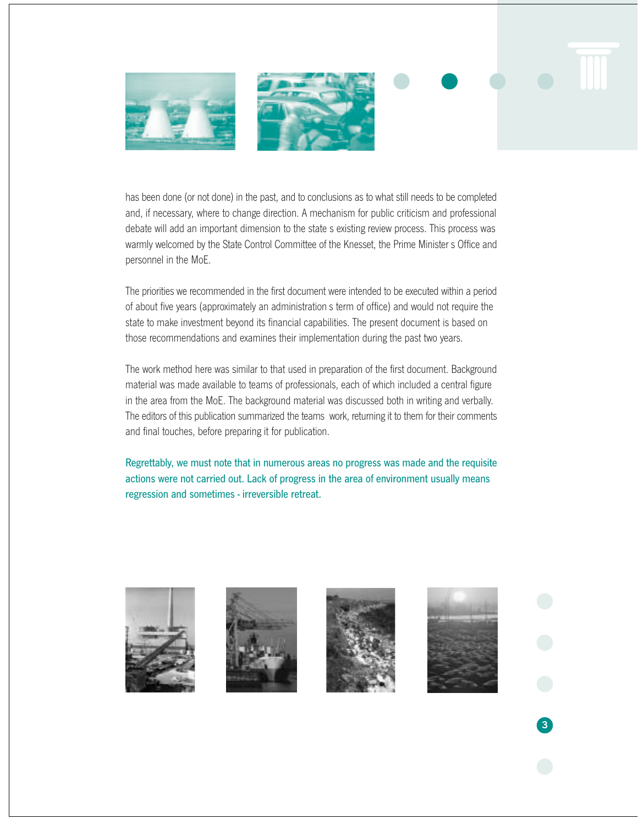

has been done (or not done) in the past, and to conclusions as to what still needs to be completed and, if necessary, where to change direction. A mechanism for public criticism and professional debate will add an important dimension to the state s existing review process. This process was warmly welcomed by the State Control Committee of the Knesset, the Prime Minister s Office and personnel in the MoE.

The priorities we recommended in the first document were intended to be executed within a period of about five years (approximately an administration s term of office) and would not require the state to make investment beyond its financial capabilities. The present document is based on those recommendations and examines their implementation during the past two years.

The work method here was similar to that used in preparation of the first document. Background material was made available to teams of professionals, each of which included a central figure in the area from the MoE. The background material was discussed both in writing and verbally. The editors of this publication summarized the teams work, returning it to them for their comments and final touches, before preparing it for publication.

Regrettably, we must note that in numerous areas no progress was made and the requisite actions were not carried out. Lack of progress in the area of environment usually means regression and sometimes - irreversible retreat.







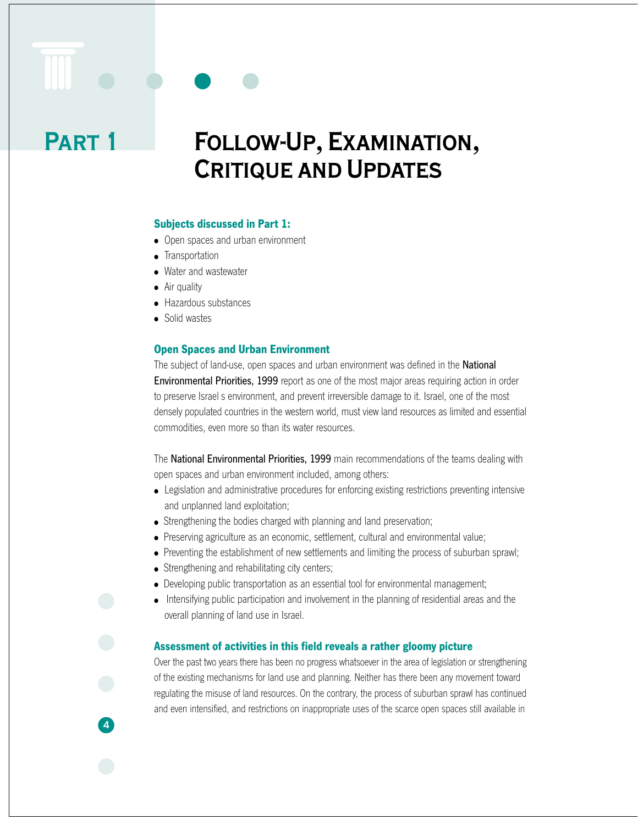# **Follow-Up, Examination, Critique and Updates**

#### **Subjects discussed in Part 1:**

- Open spaces and urban environment
- Transportation
- Water and wastewater
- Air quality

**Part 1**

- Hazardous substances
- Solid wastes

**4**

#### **Open Spaces and Urban Environment**

The subject of land-use, open spaces and urban environment was defined in the **National** Environmental Priorities, 1999 report as one of the most major areas requiring action in order to preserve Israel s environment, and prevent irreversible damage to it. Israel, one of the most densely populated countries in the western world, must view land resources as limited and essential commodities, even more so than its water resources.

The National Environmental Priorities, 1999 main recommendations of the teams dealing with open spaces and urban environment included, among others:

- Legislation and administrative procedures for enforcing existing restrictions preventing intensive and unplanned land exploitation;
- Strengthening the bodies charged with planning and land preservation;
- Preserving agriculture as an economic, settlement, cultural and environmental value;
- Preventing the establishment of new settlements and limiting the process of suburban sprawl;
- Strengthening and rehabilitating city centers;
- Developing public transportation as an essential tool for environmental management;
- Intensifying public participation and involvement in the planning of residential areas and the overall planning of land use in Israel.

#### **Assessment of activities in this field reveals a rather gloomy picture**

Over the past two years there has been no progress whatsoever in the area of legislation or strengthening of the existing mechanisms for land use and planning. Neither has there been any movement toward regulating the misuse of land resources. On the contrary, the process of suburban sprawl has continued and even intensified, and restrictions on inappropriate uses of the scarce open spaces still available in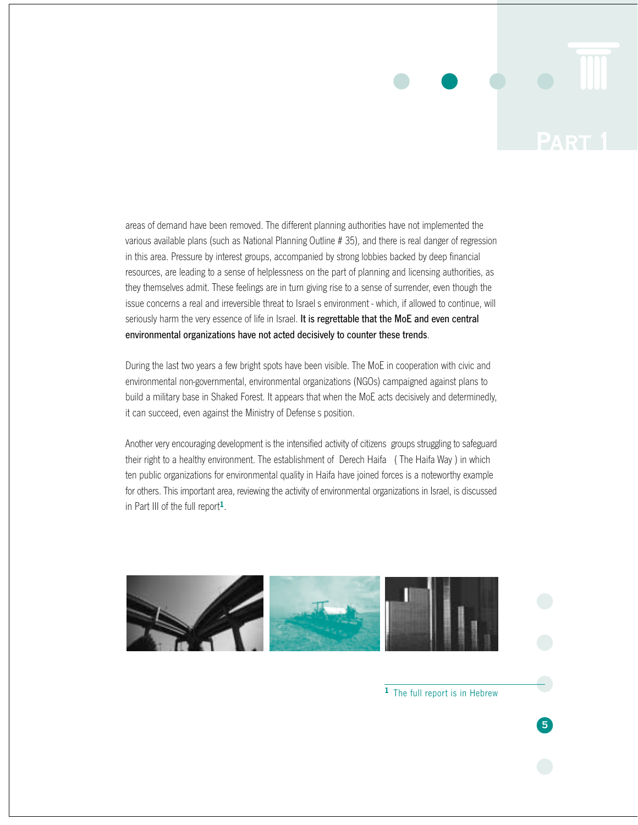

areas of demand have been removed. The different planning authorities have not implemented the various available plans (such as National Planning Outline # 35), and there is real danger of regression in this area. Pressure by interest groups, accompanied by strong lobbies backed by deep financial resources, are leading to a sense of helplessness on the part of planning and licensing authorities, as they themselves admit. These feelings are in turn giving rise to a sense of surrender, even though the issue concerns a real and irreversible threat to Israel s environment - which, if allowed to continue, will seriously harm the very essence of life in Israel. It is regrettable that the MoE and even central environmental organizations have not acted decisively to counter these trends.

During the last two years a few bright spots have been visible. The MoE in cooperation with civic and environmental non-governmental, environmental organizations (NGOs) campaigned against plans to build a military base in Shaked Forest. It appears that when the MoE acts decisively and determinedly, it can succeed, even against the Ministry of Defense s position.

Another very encouraging development is the intensified activity of citizens groups struggling to safeguard their right to a healthy environment. The establishment of Derech Haifa ( The Haifa Way ) in which ten public organizations for environmental quality in Haifa have joined forces is a noteworthy example for others. This important area, reviewing the activity of environmental organizations in Israel, is discussed in Part III of the full report**1**.



**<sup>1</sup>**The full report is in Hebrew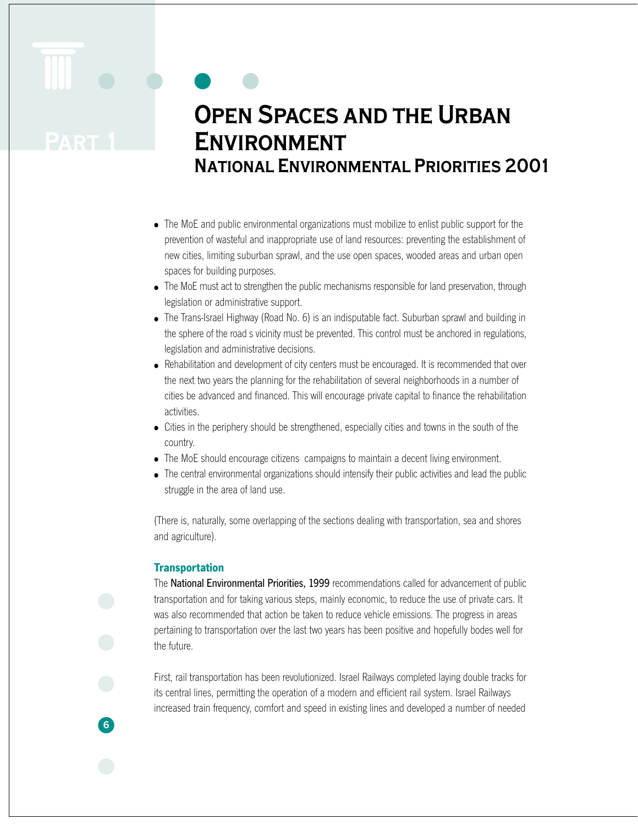# **Open Spaces and the Urban Environment National Environmental Priorities 2001**

- The MoE and public environmental organizations must mobilize to enlist public support for the prevention of wasteful and inappropriate use of land resources: preventing the establishment of new cities, limiting suburban sprawl, and the use open spaces, wooded areas and urban open spaces for building purposes.
- The MoE must act to strengthen the public mechanisms responsible for land preservation, through legislation or administrative support.
- The Trans-Israel Highway (Road No. 6) is an indisputable fact. Suburban sprawl and building in the sphere of the road s vicinity must be prevented. This control must be anchored in regulations, legislation and administrative decisions.
- Rehabilitation and development of city centers must be encouraged. It is recommended that over the next two years the planning for the rehabilitation of several neighborhoods in a number of cities be advanced and financed. This will encourage private capital to finance the rehabilitation activities.
- Cities in the periphery should be strengthened, especially cities and towns in the south of the country.
- The MoE should encourage citizens campaigns to maintain a decent living environment.
- The central environmental organizations should intensify their public activities and lead the public struggle in the area of land use.

(There is, naturally, some overlapping of the sections dealing with transportation, sea and shores and agriculture).

## **Transportation**

**6**

The National Environmental Priorities, 1999 recommendations called for advancement of public transportation and for taking various steps, mainly economic, to reduce the use of private cars. It was also recommended that action be taken to reduce vehicle emissions. The progress in areas pertaining to transportation over the last two years has been positive and hopefully bodes well for the future.

First, rail transportation has been revolutionized. Israel Railways completed laying double tracks for its central lines, permitting the operation of a modern and efficient rail system. Israel Railways increased train frequency, comfort and speed in existing lines and developed a number of needed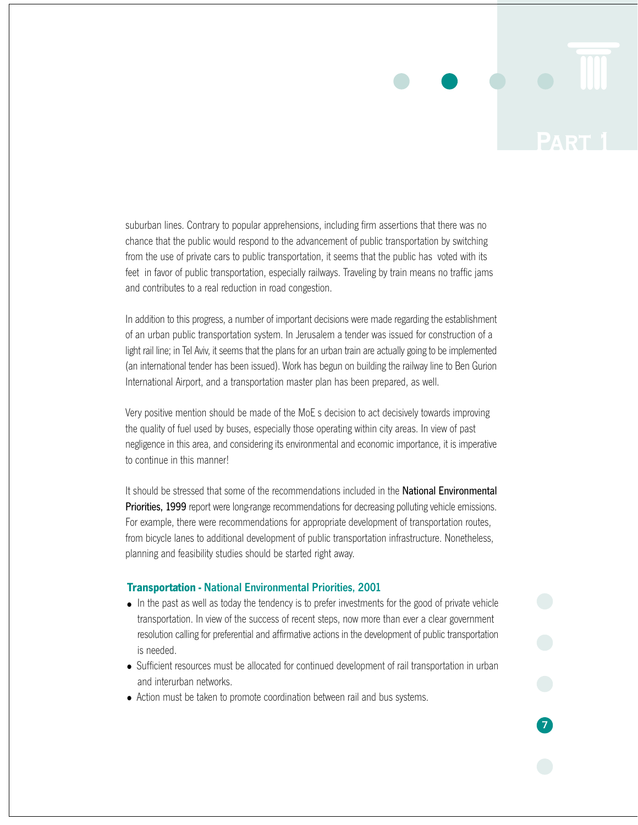suburban lines. Contrary to popular apprehensions, including firm assertions that there was no chance that the public would respond to the advancement of public transportation by switching from the use of private cars to public transportation, it seems that the public has voted with its feet in favor of public transportation, especially railways. Traveling by train means no traffic jams and contributes to a real reduction in road congestion.

In addition to this progress, a number of important decisions were made regarding the establishment of an urban public transportation system. In Jerusalem a tender was issued for construction of a light rail line; in Tel Aviv, it seems that the plans for an urban train are actually going to be implemented (an international tender has been issued). Work has begun on building the railway line to Ben Gurion International Airport, and a transportation master plan has been prepared, as well.

Very positive mention should be made of the MoE s decision to act decisively towards improving the quality of fuel used by buses, especially those operating within city areas. In view of past negligence in this area, and considering its environmental and economic importance, it is imperative to continue in this manner!

It should be stressed that some of the recommendations included in the **National Environmental Priorities, 1999** report were long-range recommendations for decreasing polluting vehicle emissions. For example, there were recommendations for appropriate development of transportation routes, from bicycle lanes to additional development of public transportation infrastructure. Nonetheless, planning and feasibility studies should be started right away.

#### **Transportation -** National Environmental Priorities, 2001

- In the past as well as today the tendency is to prefer investments for the good of private vehicle transportation. In view of the success of recent steps, now more than ever a clear government resolution calling for preferential and affirmative actions in the development of public transportation is needed.
- Sufficient resources must be allocated for continued development of rail transportation in urban and interurban networks.
- Action must be taken to promote coordination between rail and bus systems.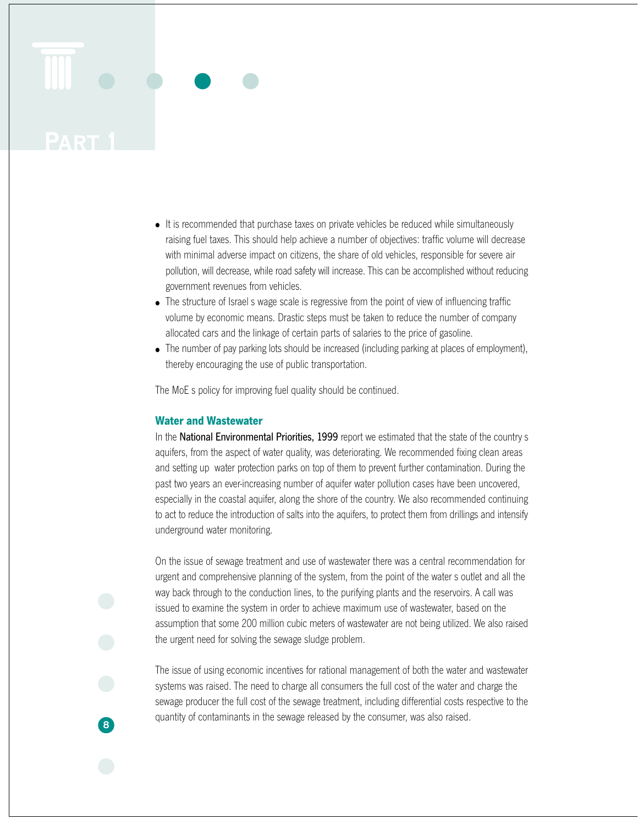- It is recommended that purchase taxes on private vehicles be reduced while simultaneously raising fuel taxes. This should help achieve a number of objectives: traffic volume will decrease with minimal adverse impact on citizens, the share of old vehicles, responsible for severe air pollution, will decrease, while road safety will increase. This can be accomplished without reducing government revenues from vehicles.
- The structure of Israel s wage scale is regressive from the point of view of influencing traffic volume by economic means. Drastic steps must be taken to reduce the number of company allocated cars and the linkage of certain parts of salaries to the price of gasoline.
- The number of pay parking lots should be increased (including parking at places of employment), thereby encouraging the use of public transportation.

The MoE s policy for improving fuel quality should be continued.

#### **Water and Wastewater**

**8**

In the National Environmental Priorities, 1999 report we estimated that the state of the country s aquifers, from the aspect of water quality, was deteriorating. We recommended fixing clean areas and setting up water protection parks on top of them to prevent further contamination. During the past two years an ever-increasing number of aquifer water pollution cases have been uncovered, especially in the coastal aquifer, along the shore of the country. We also recommended continuing to act to reduce the introduction of salts into the aquifers, to protect them from drillings and intensify underground water monitoring.

On the issue of sewage treatment and use of wastewater there was a central recommendation for urgent and comprehensive planning of the system, from the point of the water s outlet and all the way back through to the conduction lines, to the purifying plants and the reservoirs. A call was issued to examine the system in order to achieve maximum use of wastewater, based on the assumption that some 200 million cubic meters of wastewater are not being utilized. We also raised the urgent need for solving the sewage sludge problem.

The issue of using economic incentives for rational management of both the water and wastewater systems was raised. The need to charge all consumers the full cost of the water and charge the sewage producer the full cost of the sewage treatment, including differential costs respective to the quantity of contaminants in the sewage released by the consumer, was also raised.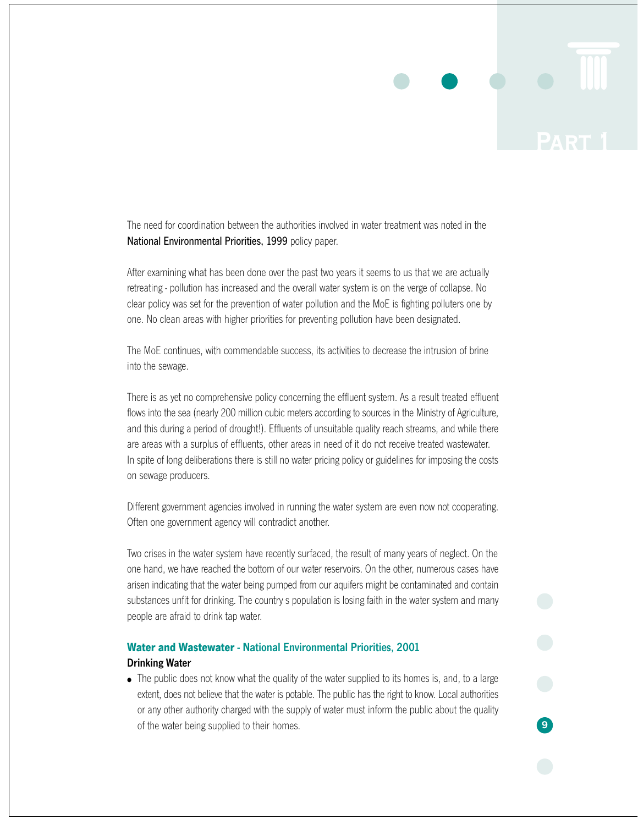The need for coordination between the authorities involved in water treatment was noted in the National Environmental Priorities, 1999 policy paper.

After examining what has been done over the past two years it seems to us that we are actually retreating - pollution has increased and the overall water system is on the verge of collapse. No clear policy was set for the prevention of water pollution and the MoE is fighting polluters one by one. No clean areas with higher priorities for preventing pollution have been designated.

The MoE continues, with commendable success, its activities to decrease the intrusion of brine into the sewage.

There is as yet no comprehensive policy concerning the effluent system. As a result treated effluent flows into the sea (nearly 200 million cubic meters according to sources in the Ministry of Agriculture, and this during a period of drought!). Effluents of unsuitable quality reach streams, and while there are areas with a surplus of effluents, other areas in need of it do not receive treated wastewater. In spite of long deliberations there is still no water pricing policy or guidelines for imposing the costs on sewage producers.

Different government agencies involved in running the water system are even now not cooperating. Often one government agency will contradict another.

Two crises in the water system have recently surfaced, the result of many years of neglect. On the one hand, we have reached the bottom of our water reservoirs. On the other, numerous cases have arisen indicating that the water being pumped from our aquifers might be contaminated and contain substances unfit for drinking. The country s population is losing faith in the water system and many people are afraid to drink tap water.

## **Water and Wastewater** - National Environmental Priorities, 2001 Drinking Water

• The public does not know what the quality of the water supplied to its homes is, and, to a large extent, does not believe that the water is potable. The public has the right to know. Local authorities or any other authority charged with the supply of water must inform the public about the quality of the water being supplied to their homes.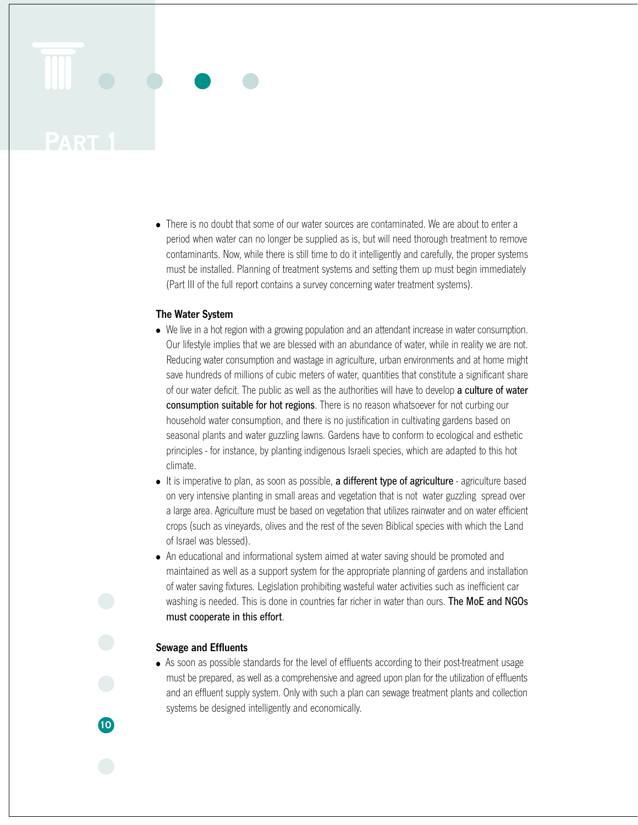• There is no doubt that some of our water sources are contaminated. We are about to enter a period when water can no longer be supplied as is, but will need thorough treatment to remove contaminants. Now, while there is still time to do it intelligently and carefully, the proper systems must be installed. Planning of treatment systems and setting them up must begin immediately (Part III of the full report contains a survey concerning water treatment systems).

#### The Water System

- We live in a hot region with a growing population and an attendant increase in water consumption. Our lifestyle implies that we are blessed with an abundance of water, while in reality we are not. Reducing water consumption and wastage in agriculture, urban environments and at home might save hundreds of millions of cubic meters of water, quantities that constitute a significant share of our water deficit. The public as well as the authorities will have to develop a culture of water consumption suitable for hot regions. There is no reason whatsoever for not curbing our household water consumption, and there is no justification in cultivating gardens based on seasonal plants and water guzzling lawns. Gardens have to conform to ecological and esthetic principles - for instance, by planting indigenous Israeli species, which are adapted to this hot climate.
- It is imperative to plan, as soon as possible, a different type of agriculture agriculture based on very intensive planting in small areas and vegetation that is not water guzzling spread over a large area. Agriculture must be based on vegetation that utilizes rainwater and on water efficient crops (such as vineyards, olives and the rest of the seven Biblical species with which the Land of Israel was blessed).
- An educational and informational system aimed at water saving should be promoted and maintained as well as a support system for the appropriate planning of gardens and installation of water saving fixtures. Legislation prohibiting wasteful water activities such as inefficient car washing is needed. This is done in countries far richer in water than ours. **The MoE and NGOs** must cooperate in this effort.

## Sewage and Effluents

**10**

• As soon as possible standards for the level of effluents according to their post-treatment usage must be prepared, as well as a comprehensive and agreed upon plan for the utilization of effluents and an effluent supply system. Only with such a plan can sewage treatment plants and collection systems be designed intelligently and economically.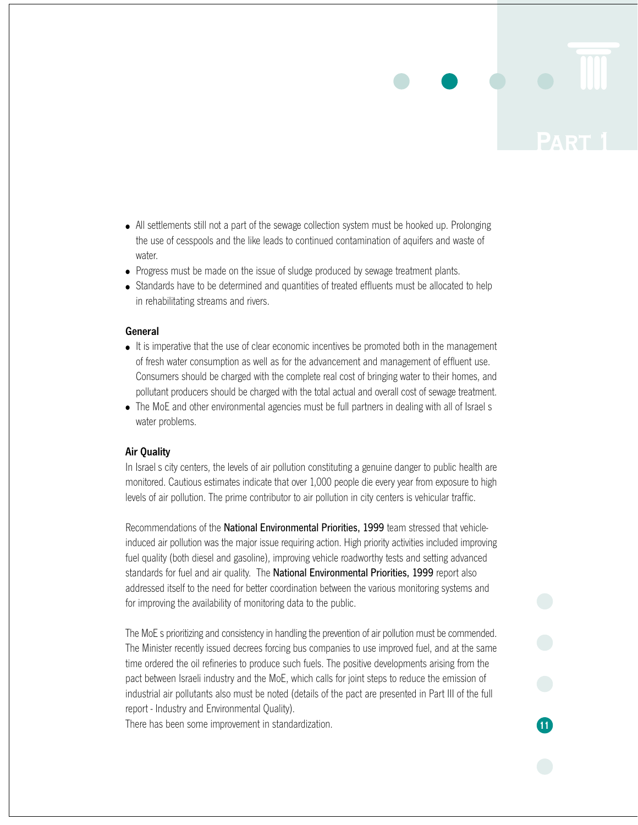- All settlements still not a part of the sewage collection system must be hooked up. Prolonging the use of cesspools and the like leads to continued contamination of aquifers and waste of water.
- Progress must be made on the issue of sludge produced by sewage treatment plants.
- Standards have to be determined and quantities of treated effluents must be allocated to help in rehabilitating streams and rivers.

#### General

- It is imperative that the use of clear economic incentives be promoted both in the management of fresh water consumption as well as for the advancement and management of effluent use. Consumers should be charged with the complete real cost of bringing water to their homes, and pollutant producers should be charged with the total actual and overall cost of sewage treatment.
- The MoE and other environmental agencies must be full partners in dealing with all of Israel s water problems.

#### Air Quality

In Israel s city centers, the levels of air pollution constituting a genuine danger to public health are monitored. Cautious estimates indicate that over 1,000 people die every year from exposure to high levels of air pollution. The prime contributor to air pollution in city centers is vehicular traffic.

Recommendations of the National Environmental Priorities, 1999 team stressed that vehicleinduced air pollution was the major issue requiring action. High priority activities included improving fuel quality (both diesel and gasoline), improving vehicle roadworthy tests and setting advanced standards for fuel and air quality. The National Environmental Priorities, 1999 report also addressed itself to the need for better coordination between the various monitoring systems and for improving the availability of monitoring data to the public.

The MoE s prioritizing and consistency in handling the prevention of air pollution must be commended. The Minister recently issued decrees forcing bus companies to use improved fuel, and at the same time ordered the oil refineries to produce such fuels. The positive developments arising from the pact between Israeli industry and the MoE, which calls for joint steps to reduce the emission of industrial air pollutants also must be noted (details of the pact are presented in Part III of the full report - Industry and Environmental Quality).

**11**

There has been some improvement in standardization.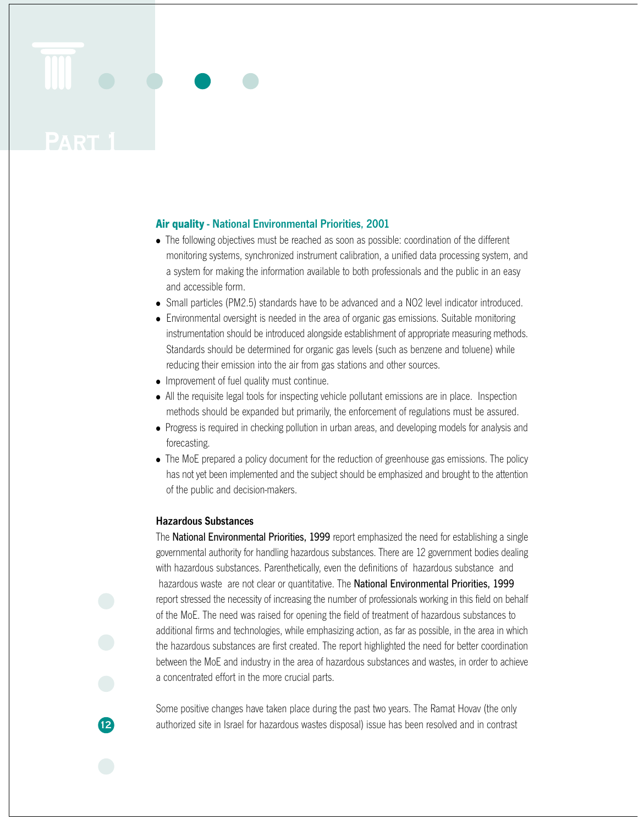#### **Air quality** - National Environmental Priorities, 2001

- The following objectives must be reached as soon as possible: coordination of the different monitoring systems, synchronized instrument calibration, a unified data processing system, and a system for making the information available to both professionals and the public in an easy and accessible form.
- Small particles (PM2.5) standards have to be advanced and a NO2 level indicator introduced.
- Environmental oversight is needed in the area of organic gas emissions. Suitable monitoring instrumentation should be introduced alongside establishment of appropriate measuring methods. Standards should be determined for organic gas levels (such as benzene and toluene) while reducing their emission into the air from gas stations and other sources.
- Improvement of fuel quality must continue.
- All the requisite legal tools for inspecting vehicle pollutant emissions are in place. Inspection methods should be expanded but primarily, the enforcement of regulations must be assured.
- Progress is required in checking pollution in urban areas, and developing models for analysis and forecasting.
- The MoE prepared a policy document for the reduction of greenhouse gas emissions. The policy has not yet been implemented and the subject should be emphasized and brought to the attention of the public and decision-makers.

#### Hazardous Substances

**12**

The **National Environmental Priorities, 1999** report emphasized the need for establishing a single governmental authority for handling hazardous substances. There are 12 government bodies dealing with hazardous substances. Parenthetically, even the definitions of hazardous substance and hazardous waste are not clear or quantitative. The National Environmental Priorities, 1999 report stressed the necessity of increasing the number of professionals working in this field on behalf of the MoE. The need was raised for opening the field of treatment of hazardous substances to additional firms and technologies, while emphasizing action, as far as possible, in the area in which the hazardous substances are first created. The report highlighted the need for better coordination between the MoE and industry in the area of hazardous substances and wastes, in order to achieve a concentrated effort in the more crucial parts.

Some positive changes have taken place during the past two years. The Ramat Hovav (the only authorized site in Israel for hazardous wastes disposal) issue has been resolved and in contrast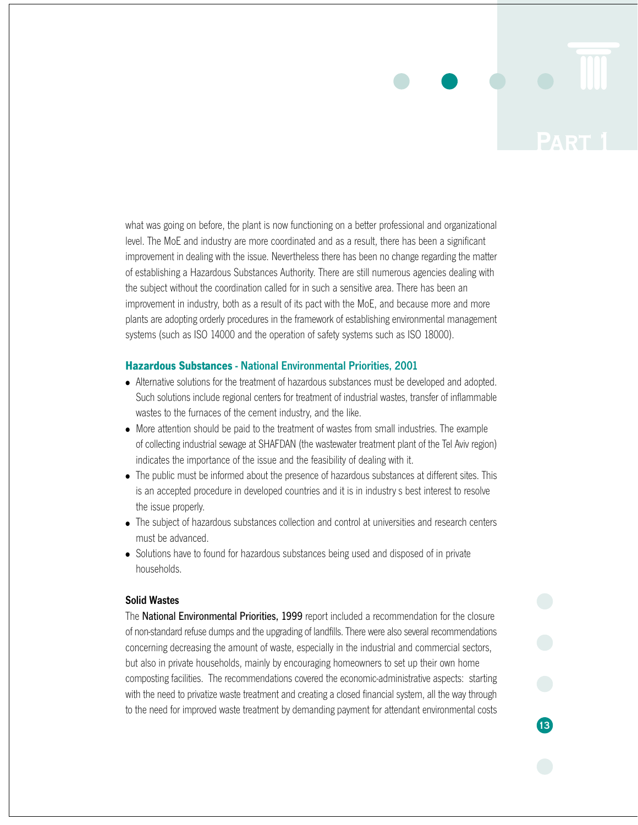what was going on before, the plant is now functioning on a better professional and organizational level. The MoE and industry are more coordinated and as a result, there has been a significant improvement in dealing with the issue. Nevertheless there has been no change regarding the matter of establishing a Hazardous Substances Authority. There are still numerous agencies dealing with the subject without the coordination called for in such a sensitive area. There has been an improvement in industry, both as a result of its pact with the MoE, and because more and more plants are adopting orderly procedures in the framework of establishing environmental management systems (such as ISO 14000 and the operation of safety systems such as ISO 18000).

#### **Hazardous Substances** - National Environmental Priorities, 2001

- Alternative solutions for the treatment of hazardous substances must be developed and adopted. Such solutions include regional centers for treatment of industrial wastes, transfer of inflammable wastes to the furnaces of the cement industry, and the like.
- More attention should be paid to the treatment of wastes from small industries. The example of collecting industrial sewage at SHAFDAN (the wastewater treatment plant of the Tel Aviv region) indicates the importance of the issue and the feasibility of dealing with it.
- The public must be informed about the presence of hazardous substances at different sites. This is an accepted procedure in developed countries and it is in industry s best interest to resolve the issue properly.
- The subject of hazardous substances collection and control at universities and research centers must be advanced.
- Solutions have to found for hazardous substances being used and disposed of in private households.

#### Solid Wastes

The National Environmental Priorities, 1999 report included a recommendation for the closure of non-standard refuse dumps and the upgrading of landfills. There were also several recommendations concerning decreasing the amount of waste, especially in the industrial and commercial sectors, but also in private households, mainly by encouraging homeowners to set up their own home composting facilities. The recommendations covered the economic-administrative aspects: starting with the need to privatize waste treatment and creating a closed financial system, all the way through to the need for improved waste treatment by demanding payment for attendant environmental costs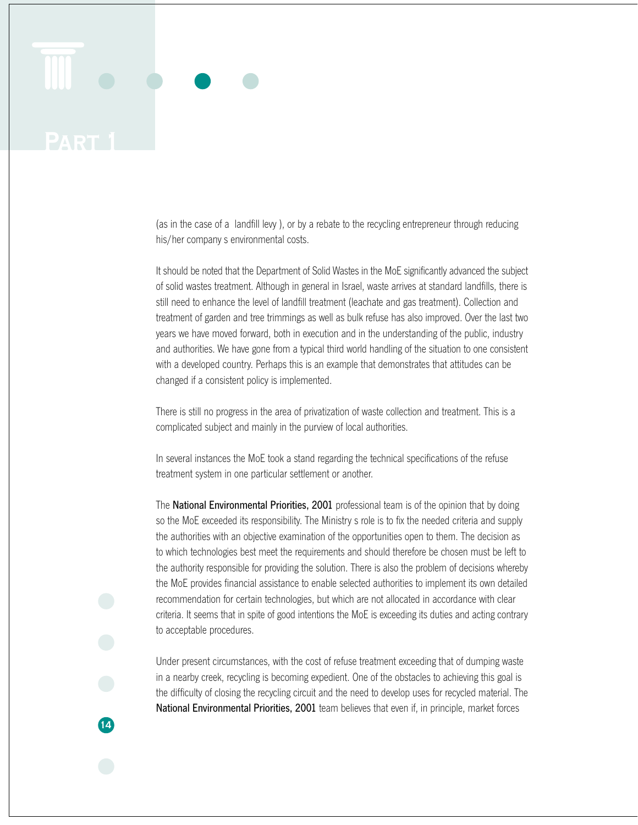(as in the case of a landfill levy ), or by a rebate to the recycling entrepreneur through reducing his/her company s environmental costs.

It should be noted that the Department of Solid Wastes in the MoE significantly advanced the subject of solid wastes treatment. Although in general in Israel, waste arrives at standard landfills, there is still need to enhance the level of landfill treatment (leachate and gas treatment). Collection and treatment of garden and tree trimmings as well as bulk refuse has also improved. Over the last two years we have moved forward, both in execution and in the understanding of the public, industry and authorities. We have gone from a typical third world handling of the situation to one consistent with a developed country. Perhaps this is an example that demonstrates that attitudes can be changed if a consistent policy is implemented.

There is still no progress in the area of privatization of waste collection and treatment. This is a complicated subject and mainly in the purview of local authorities.

In several instances the MoE took a stand regarding the technical specifications of the refuse treatment system in one particular settlement or another.

The National Environmental Priorities, 2001 professional team is of the opinion that by doing so the MoE exceeded its responsibility. The Ministry s role is to fix the needed criteria and supply the authorities with an objective examination of the opportunities open to them. The decision as to which technologies best meet the requirements and should therefore be chosen must be left to the authority responsible for providing the solution. There is also the problem of decisions whereby the MoE provides financial assistance to enable selected authorities to implement its own detailed recommendation for certain technologies, but which are not allocated in accordance with clear criteria. It seems that in spite of good intentions the MoE is exceeding its duties and acting contrary to acceptable procedures.

Under present circumstances, with the cost of refuse treatment exceeding that of dumping waste in a nearby creek, recycling is becoming expedient. One of the obstacles to achieving this goal is the difficulty of closing the recycling circuit and the need to develop uses for recycled material. The National Environmental Priorities, 2001 team believes that even if, in principle, market forces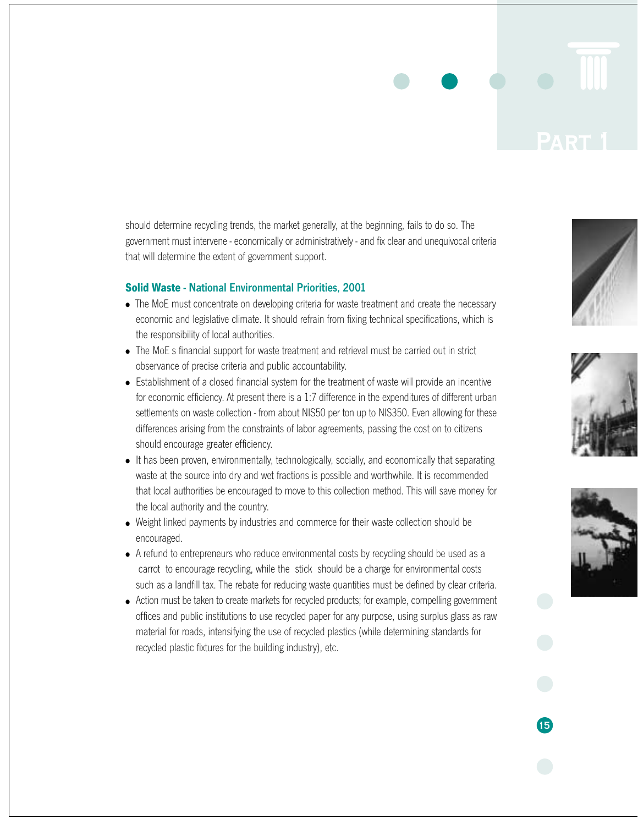should determine recycling trends, the market generally, at the beginning, fails to do so. The government must intervene - economically or administratively - and fix clear and unequivocal criteria that will determine the extent of government support.

#### **Solid Waste** - National Environmental Priorities, 2001

- The MoE must concentrate on developing criteria for waste treatment and create the necessary economic and legislative climate. It should refrain from fixing technical specifications, which is the responsibility of local authorities.
- The MoE s financial support for waste treatment and retrieval must be carried out in strict observance of precise criteria and public accountability.
- Establishment of a closed financial system for the treatment of waste will provide an incentive for economic efficiency. At present there is a 1:7 difference in the expenditures of different urban settlements on waste collection - from about NIS50 per ton up to NIS350. Even allowing for these differences arising from the constraints of labor agreements, passing the cost on to citizens should encourage greater efficiency.
- It has been proven, environmentally, technologically, socially, and economically that separating waste at the source into dry and wet fractions is possible and worthwhile. It is recommended that local authorities be encouraged to move to this collection method. This will save money for the local authority and the country.
- Weight linked payments by industries and commerce for their waste collection should be encouraged.
- A refund to entrepreneurs who reduce environmental costs by recycling should be used as a carrot to encourage recycling, while the stick should be a charge for environmental costs such as a landfill tax. The rebate for reducing waste quantities must be defined by clear criteria.
- Action must be taken to create markets for recycled products; for example, compelling government offices and public institutions to use recycled paper for any purpose, using surplus glass as raw material for roads, intensifying the use of recycled plastics (while determining standards for recycled plastic fixtures for the building industry), etc.





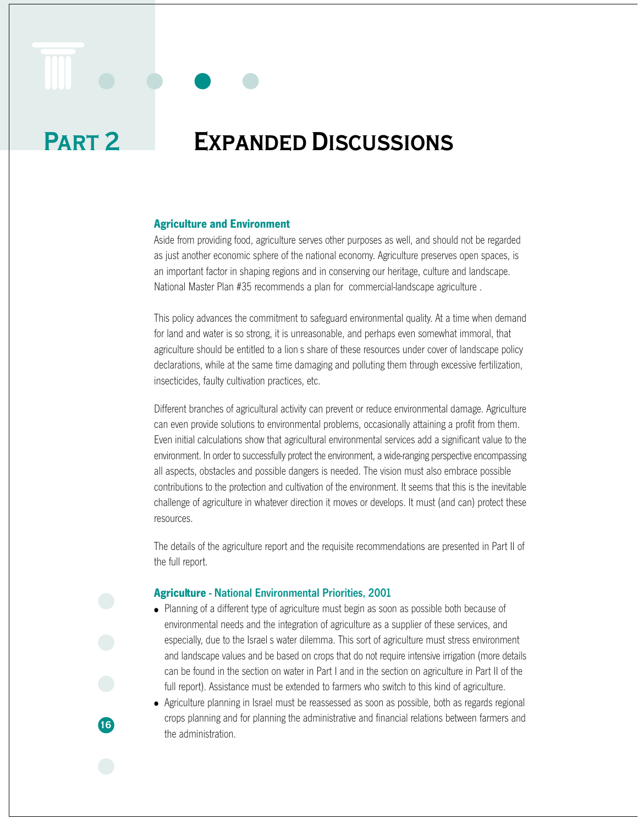# **Part 2 Expanded Discussions**

#### **Agriculture and Environment**

Aside from providing food, agriculture serves other purposes as well, and should not be regarded as just another economic sphere of the national economy. Agriculture preserves open spaces, is an important factor in shaping regions and in conserving our heritage, culture and landscape. National Master Plan #35 recommends a plan for commercial-landscape agriculture .

This policy advances the commitment to safeguard environmental quality. At a time when demand for land and water is so strong, it is unreasonable, and perhaps even somewhat immoral, that agriculture should be entitled to a lion s share of these resources under cover of landscape policy declarations, while at the same time damaging and polluting them through excessive fertilization, insecticides, faulty cultivation practices, etc.

Different branches of agricultural activity can prevent or reduce environmental damage. Agriculture can even provide solutions to environmental problems, occasionally attaining a profit from them. Even initial calculations show that agricultural environmental services add a significant value to the environment. In order to successfully protect the environment, a wide-ranging perspective encompassing all aspects, obstacles and possible dangers is needed. The vision must also embrace possible contributions to the protection and cultivation of the environment. It seems that this is the inevitable challenge of agriculture in whatever direction it moves or develops. It must (and can) protect these resources.

The details of the agriculture report and the requisite recommendations are presented in Part II of the full report.

#### **Agriculture** - National Environmental Priorities, 2001

**16**

● Planning of a different type of agriculture must begin as soon as possible both because of environmental needs and the integration of agriculture as a supplier of these services, and especially, due to the Israel s water dilemma. This sort of agriculture must stress environment and landscape values and be based on crops that do not require intensive irrigation (more details can be found in the section on water in Part I and in the section on agriculture in Part II of the full report). Assistance must be extended to farmers who switch to this kind of agriculture.

● Agriculture planning in Israel must be reassessed as soon as possible, both as regards regional crops planning and for planning the administrative and financial relations between farmers and the administration.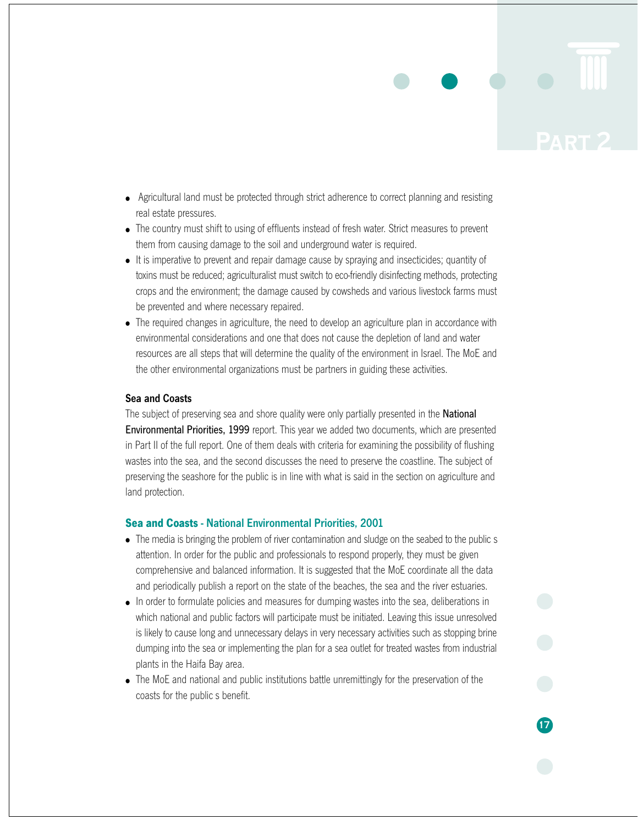- Agricultural land must be protected through strict adherence to correct planning and resisting real estate pressures.
- The country must shift to using of effluents instead of fresh water. Strict measures to prevent them from causing damage to the soil and underground water is required.
- It is imperative to prevent and repair damage cause by spraying and insecticides; quantity of toxins must be reduced; agriculturalist must switch to eco-friendly disinfecting methods, protecting crops and the environment; the damage caused by cowsheds and various livestock farms must be prevented and where necessary repaired.
- The required changes in agriculture, the need to develop an agriculture plan in accordance with environmental considerations and one that does not cause the depletion of land and water resources are all steps that will determine the quality of the environment in Israel. The MoE and the other environmental organizations must be partners in guiding these activities.

#### Sea and Coasts

The subject of preserving sea and shore quality were only partially presented in the **National** Environmental Priorities, 1999 report. This year we added two documents, which are presented in Part II of the full report. One of them deals with criteria for examining the possibility of flushing wastes into the sea, and the second discusses the need to preserve the coastline. The subject of preserving the seashore for the public is in line with what is said in the section on agriculture and land protection.

#### **Sea and Coasts** - National Environmental Priorities, 2001

- The media is bringing the problem of river contamination and sludge on the seabed to the public s attention. In order for the public and professionals to respond properly, they must be given comprehensive and balanced information. It is suggested that the MoE coordinate all the data and periodically publish a report on the state of the beaches, the sea and the river estuaries.
- In order to formulate policies and measures for dumping wastes into the sea, deliberations in which national and public factors will participate must be initiated. Leaving this issue unresolved is likely to cause long and unnecessary delays in very necessary activities such as stopping brine dumping into the sea or implementing the plan for a sea outlet for treated wastes from industrial plants in the Haifa Bay area.
- The MoE and national and public institutions battle unremittingly for the preservation of the coasts for the public s benefit.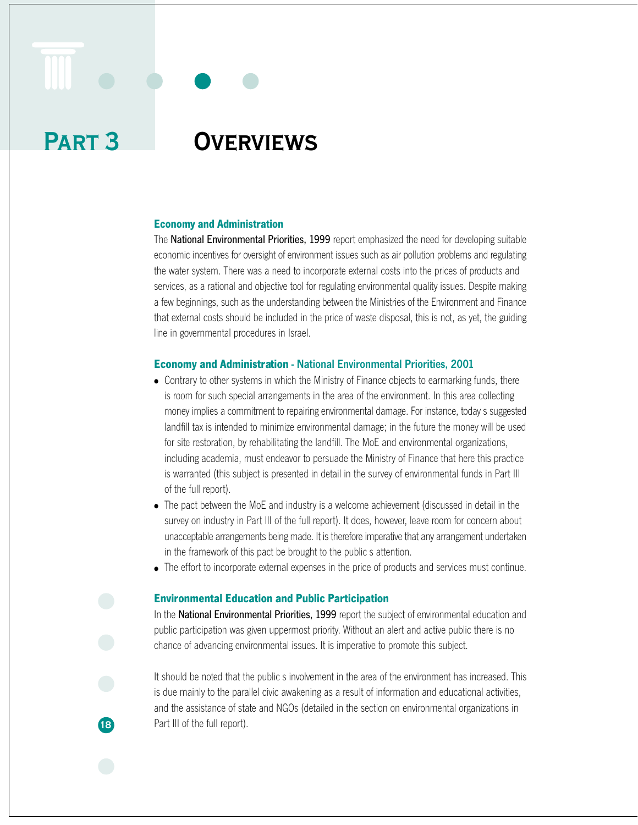# **Part 3 Overviews**

**18**

## **Economy and Administration**

The National Environmental Priorities, 1999 report emphasized the need for developing suitable economic incentives for oversight of environment issues such as air pollution problems and regulating the water system. There was a need to incorporate external costs into the prices of products and services, as a rational and objective tool for regulating environmental quality issues. Despite making a few beginnings, such as the understanding between the Ministries of the Environment and Finance that external costs should be included in the price of waste disposal, this is not, as yet, the guiding line in governmental procedures in Israel.

#### **Economy and Administration** - National Environmental Priorities, 2001

- Contrary to other systems in which the Ministry of Finance objects to earmarking funds, there is room for such special arrangements in the area of the environment. In this area collecting money implies a commitment to repairing environmental damage. For instance, today s suggested landfill tax is intended to minimize environmental damage; in the future the money will be used for site restoration, by rehabilitating the landfill. The MoE and environmental organizations, including academia, must endeavor to persuade the Ministry of Finance that here this practice is warranted (this subject is presented in detail in the survey of environmental funds in Part III of the full report).
- The pact between the MoE and industry is a welcome achievement (discussed in detail in the survey on industry in Part III of the full report). It does, however, leave room for concern about unacceptable arrangements being made. It is therefore imperative that any arrangement undertaken in the framework of this pact be brought to the public s attention.
- The effort to incorporate external expenses in the price of products and services must continue.

#### **Environmental Education and Public Participation**

In the National Environmental Priorities, 1999 report the subject of environmental education and public participation was given uppermost priority. Without an alert and active public there is no chance of advancing environmental issues. It is imperative to promote this subject.

It should be noted that the public s involvement in the area of the environment has increased. This is due mainly to the parallel civic awakening as a result of information and educational activities, and the assistance of state and NGOs (detailed in the section on environmental organizations in Part III of the full report).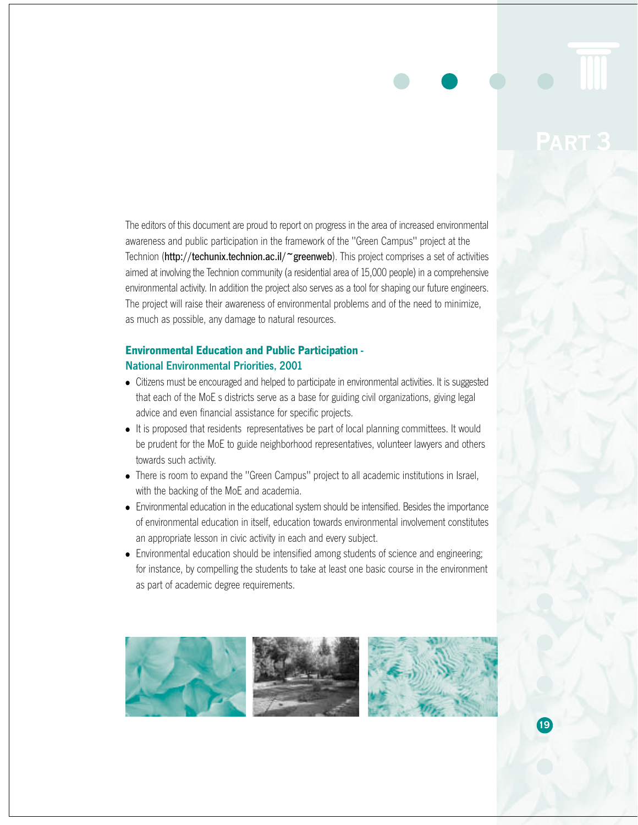The editors of this document are proud to report on progress in the area of increased environmental awareness and public participation in the framework of the "Green Campus" project at the Technion (http://techunix.technion.ac.il/~greenweb). This project comprises a set of activities aimed at involving the Technion community (a residential area of 15,000 people) in a comprehensive environmental activity. In addition the project also serves as a tool for shaping our future engineers. The project will raise their awareness of environmental problems and of the need to minimize, as much as possible, any damage to natural resources.

## **Environmental Education and Public Participation** - National Environmental Priorities, 2001

- Citizens must be encouraged and helped to participate in environmental activities. It is suggested that each of the MoE s districts serve as a base for guiding civil organizations, giving legal advice and even financial assistance for specific projects.
- It is proposed that residents representatives be part of local planning committees. It would be prudent for the MoE to guide neighborhood representatives, volunteer lawyers and others towards such activity.
- There is room to expand the "Green Campus" project to all academic institutions in Israel, with the backing of the MoE and academia.
- Environmental education in the educational system should be intensified. Besides the importance of environmental education in itself, education towards environmental involvement constitutes an appropriate lesson in civic activity in each and every subject.
- Environmental education should be intensified among students of science and engineering; for instance, by compelling the students to take at least one basic course in the environment as part of academic degree requirements.